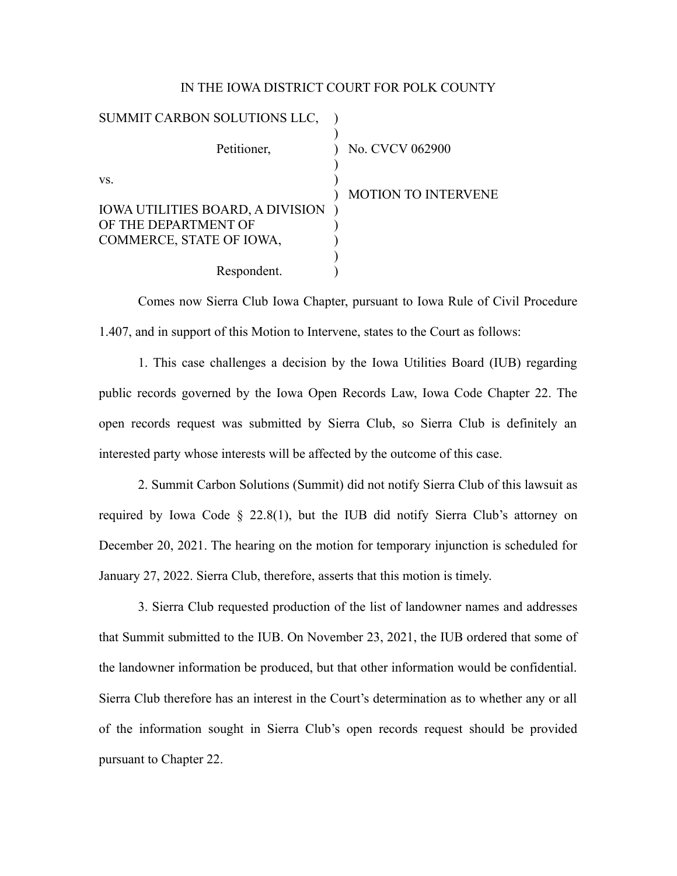## IN THE IOWA DISTRICT COURT FOR POLK COUNTY

| SUMMIT CARBON SOLUTIONS LLC,            |                            |
|-----------------------------------------|----------------------------|
| Petitioner,                             | No. CVCV 062900            |
| VS.                                     |                            |
|                                         | <b>MOTION TO INTERVENE</b> |
| <b>IOWA UTILITIES BOARD, A DIVISION</b> |                            |
| OF THE DEPARTMENT OF                    |                            |
| COMMERCE, STATE OF IOWA,                |                            |
|                                         |                            |
| Respondent.                             |                            |

Comes now Sierra Club Iowa Chapter, pursuant to Iowa Rule of Civil Procedure 1.407, and in support of this Motion to Intervene, states to the Court as follows:

1. This case challenges a decision by the Iowa Utilities Board (IUB) regarding public records governed by the Iowa Open Records Law, Iowa Code Chapter 22. The open records request was submitted by Sierra Club, so Sierra Club is definitely an interested party whose interests will be affected by the outcome of this case.

2. Summit Carbon Solutions (Summit) did not notify Sierra Club of this lawsuit as required by Iowa Code § 22.8(1), but the IUB did notify Sierra Club's attorney on December 20, 2021. The hearing on the motion for temporary injunction is scheduled for January 27, 2022. Sierra Club, therefore, asserts that this motion is timely.

3. Sierra Club requested production of the list of landowner names and addresses that Summit submitted to the IUB. On November 23, 2021, the IUB ordered that some of the landowner information be produced, but that other information would be confidential. Sierra Club therefore has an interest in the Court's determination as to whether any or all of the information sought in Sierra Club's open records request should be provided pursuant to Chapter 22.